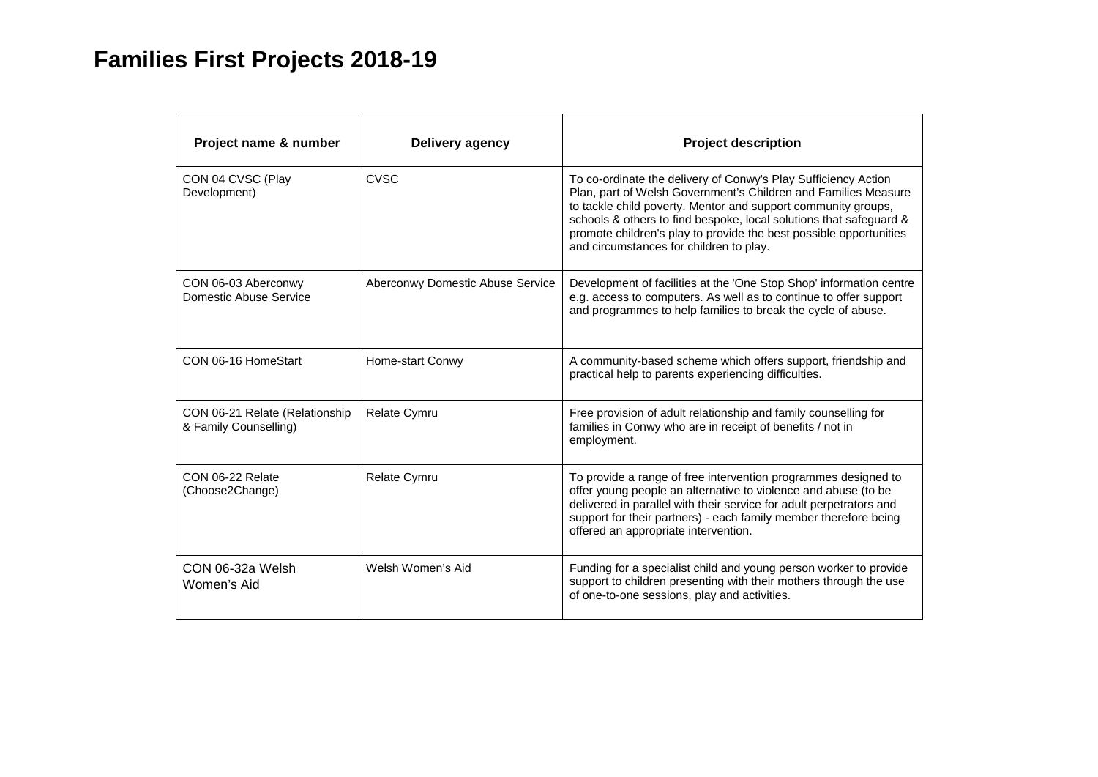## **Families First Projects 2018-19**

| Project name & number                                   | Delivery agency                  | <b>Project description</b>                                                                                                                                                                                                                                                                                                                                                               |
|---------------------------------------------------------|----------------------------------|------------------------------------------------------------------------------------------------------------------------------------------------------------------------------------------------------------------------------------------------------------------------------------------------------------------------------------------------------------------------------------------|
| CON 04 CVSC (Play<br>Development)                       | <b>CVSC</b>                      | To co-ordinate the delivery of Conwy's Play Sufficiency Action<br>Plan, part of Welsh Government's Children and Families Measure<br>to tackle child poverty. Mentor and support community groups,<br>schools & others to find bespoke, local solutions that safeguard &<br>promote children's play to provide the best possible opportunities<br>and circumstances for children to play. |
| CON 06-03 Aberconwy<br>Domestic Abuse Service           | Aberconwy Domestic Abuse Service | Development of facilities at the 'One Stop Shop' information centre<br>e.g. access to computers. As well as to continue to offer support<br>and programmes to help families to break the cycle of abuse.                                                                                                                                                                                 |
| CON 06-16 HomeStart                                     | Home-start Conwy                 | A community-based scheme which offers support, friendship and<br>practical help to parents experiencing difficulties.                                                                                                                                                                                                                                                                    |
| CON 06-21 Relate (Relationship<br>& Family Counselling) | <b>Relate Cymru</b>              | Free provision of adult relationship and family counselling for<br>families in Conwy who are in receipt of benefits / not in<br>employment.                                                                                                                                                                                                                                              |
| CON 06-22 Relate<br>(Choose2Change)                     | <b>Relate Cymru</b>              | To provide a range of free intervention programmes designed to<br>offer young people an alternative to violence and abuse (to be<br>delivered in parallel with their service for adult perpetrators and<br>support for their partners) - each family member therefore being<br>offered an appropriate intervention.                                                                      |
| CON 06-32a Welsh<br>Women's Aid                         | Welsh Women's Aid                | Funding for a specialist child and young person worker to provide<br>support to children presenting with their mothers through the use<br>of one-to-one sessions, play and activities.                                                                                                                                                                                                   |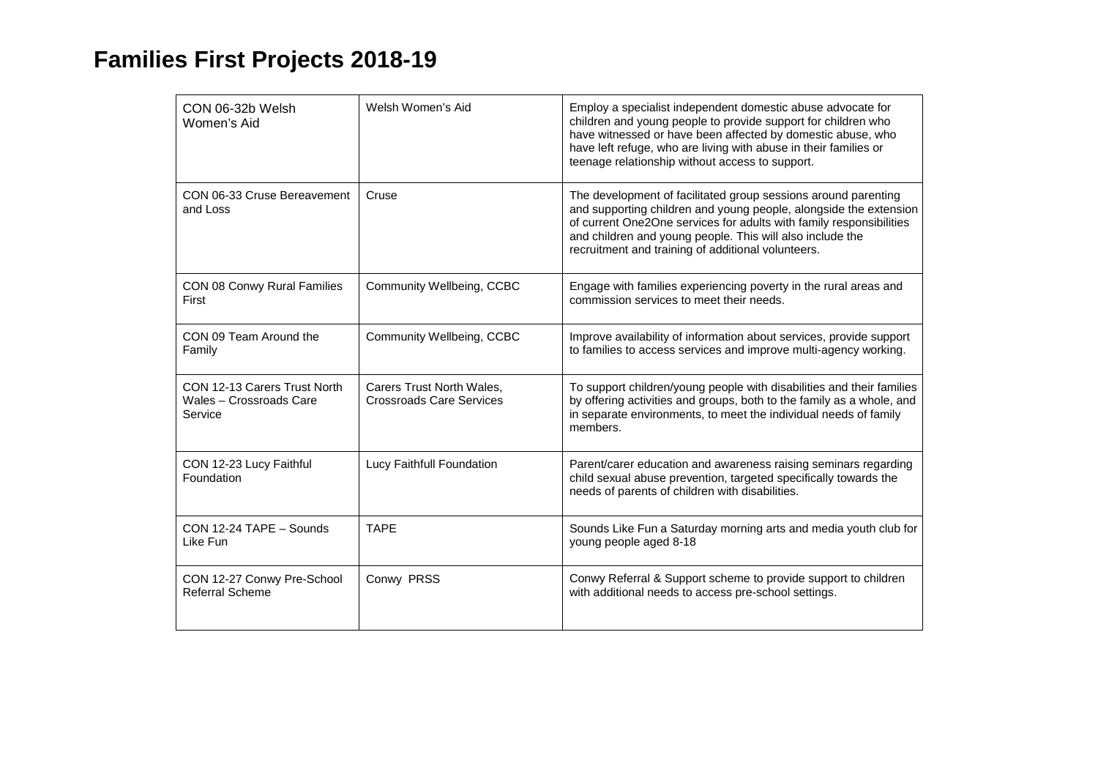## **Families First Projects 2018-19**

| CON 06-32b Welsh<br>Women's Aid                                    | Welsh Women's Aid                                            | Employ a specialist independent domestic abuse advocate for<br>children and young people to provide support for children who<br>have witnessed or have been affected by domestic abuse, who<br>have left refuge, who are living with abuse in their families or<br>teenage relationship without access to support.            |
|--------------------------------------------------------------------|--------------------------------------------------------------|-------------------------------------------------------------------------------------------------------------------------------------------------------------------------------------------------------------------------------------------------------------------------------------------------------------------------------|
| CON 06-33 Cruse Bereavement<br>and Loss                            | Cruse                                                        | The development of facilitated group sessions around parenting<br>and supporting children and young people, alongside the extension<br>of current One2One services for adults with family responsibilities<br>and children and young people. This will also include the<br>recruitment and training of additional volunteers. |
| CON 08 Conwy Rural Families<br>First                               | Community Wellbeing, CCBC                                    | Engage with families experiencing poverty in the rural areas and<br>commission services to meet their needs.                                                                                                                                                                                                                  |
| CON 09 Team Around the<br>Family                                   | Community Wellbeing, CCBC                                    | Improve availability of information about services, provide support<br>to families to access services and improve multi-agency working.                                                                                                                                                                                       |
| CON 12-13 Carers Trust North<br>Wales - Crossroads Care<br>Service | Carers Trust North Wales,<br><b>Crossroads Care Services</b> | To support children/young people with disabilities and their families<br>by offering activities and groups, both to the family as a whole, and<br>in separate environments, to meet the individual needs of family<br>members.                                                                                                |
| CON 12-23 Lucy Faithful<br>Foundation                              | Lucy Faithfull Foundation                                    | Parent/carer education and awareness raising seminars regarding<br>child sexual abuse prevention, targeted specifically towards the<br>needs of parents of children with disabilities.                                                                                                                                        |
| CON 12-24 TAPE - Sounds<br>Like Fun                                | <b>TAPE</b>                                                  | Sounds Like Fun a Saturday morning arts and media youth club for<br>young people aged 8-18                                                                                                                                                                                                                                    |
| CON 12-27 Conwy Pre-School<br><b>Referral Scheme</b>               | Conwy PRSS                                                   | Conwy Referral & Support scheme to provide support to children<br>with additional needs to access pre-school settings.                                                                                                                                                                                                        |